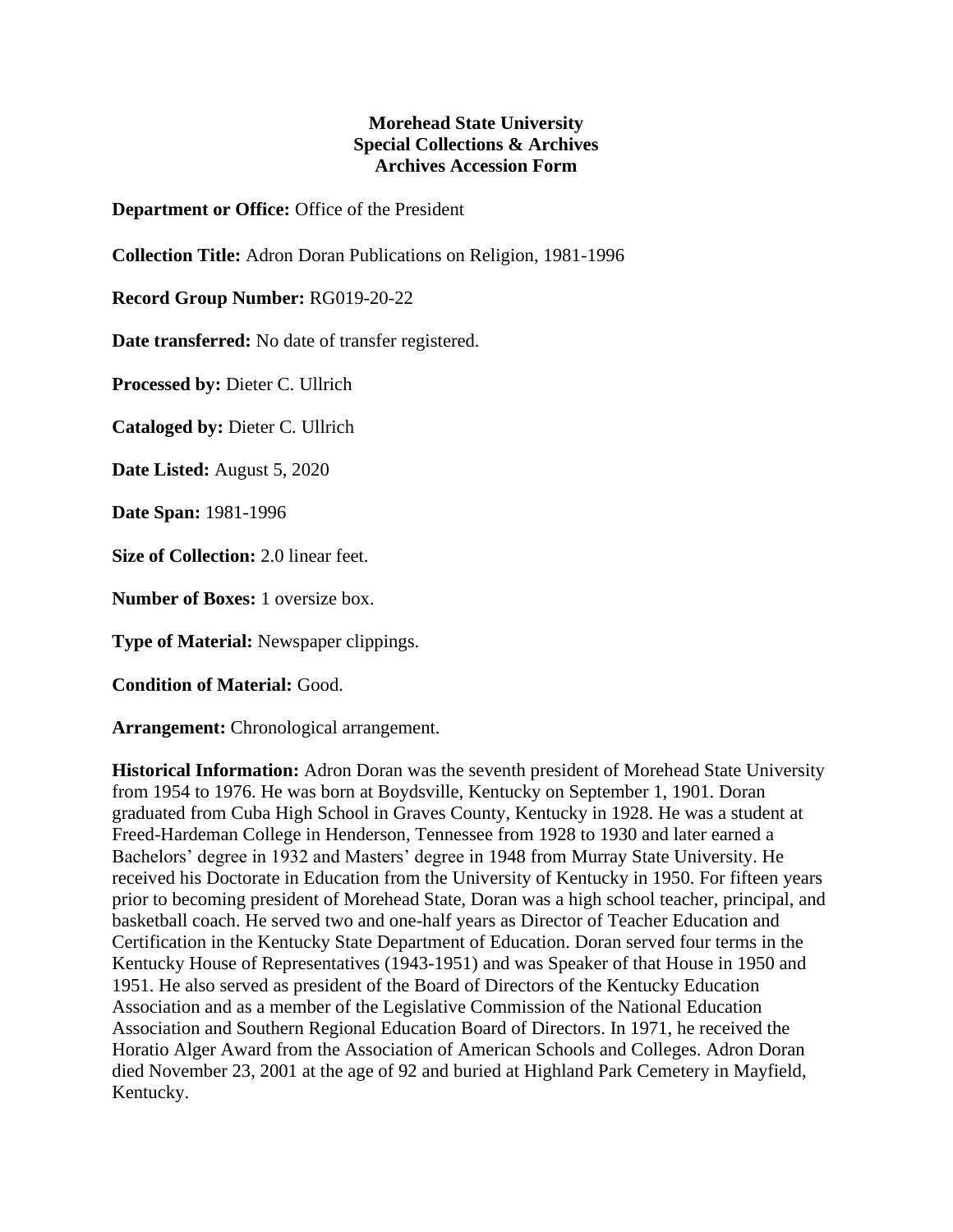## **Morehead State University Special Collections & Archives Archives Accession Form**

**Department or Office:** Office of the President

**Collection Title:** Adron Doran Publications on Religion, 1981-1996

**Record Group Number:** RG019-20-22

**Date transferred:** No date of transfer registered.

**Processed by:** Dieter C. Ullrich

**Cataloged by:** Dieter C. Ullrich

**Date Listed:** August 5, 2020

**Date Span:** 1981-1996

**Size of Collection:** 2.0 linear feet.

**Number of Boxes:** 1 oversize box.

**Type of Material:** Newspaper clippings.

**Condition of Material:** Good.

**Arrangement:** Chronological arrangement.

**Historical Information:** Adron Doran was the seventh president of Morehead State University from 1954 to 1976. He was born at Boydsville, Kentucky on September 1, 1901. Doran graduated from Cuba High School in Graves County, Kentucky in 1928. He was a student at Freed-Hardeman College in Henderson, Tennessee from 1928 to 1930 and later earned a Bachelors' degree in 1932 and Masters' degree in 1948 from Murray State University. He received his Doctorate in Education from the University of Kentucky in 1950. For fifteen years prior to becoming president of Morehead State, Doran was a high school teacher, principal, and basketball coach. He served two and one-half years as Director of Teacher Education and Certification in the Kentucky State Department of Education. Doran served four terms in the Kentucky House of Representatives (1943-1951) and was Speaker of that House in 1950 and 1951. He also served as president of the Board of Directors of the Kentucky Education Association and as a member of the Legislative Commission of the National Education Association and Southern Regional Education Board of Directors. In 1971, he received the Horatio Alger Award from the Association of American Schools and Colleges. Adron Doran died November 23, 2001 at the age of 92 and buried at Highland Park Cemetery in Mayfield, Kentucky.